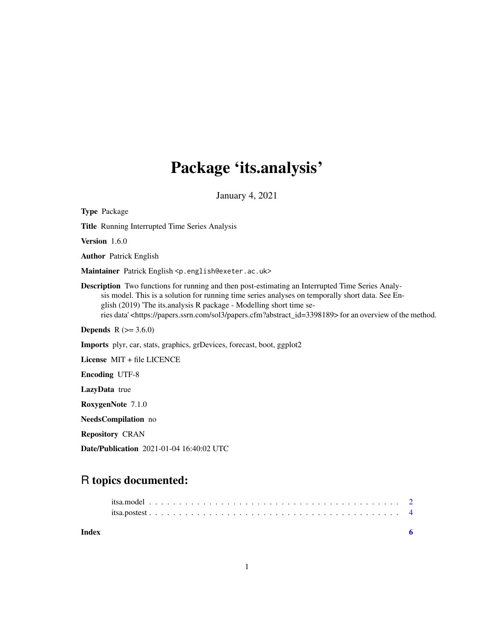## Package 'its.analysis'

January 4, 2021

Type Package Title Running Interrupted Time Series Analysis Version 1.6.0 Author Patrick English Maintainer Patrick English <p.english@exeter.ac.uk> Description Two functions for running and then post-estimating an Interrupted Time Series Analysis model. This is a solution for running time series analyses on temporally short data. See English (2019) 'The its.analysis R package - Modelling short time series data' <https://papers.ssrn.com/sol3/papers.cfm?abstract\_id=3398189> for an overview of the method. **Depends**  $R (= 3.6.0)$ Imports plyr, car, stats, graphics, grDevices, forecast, boot, ggplot2 License MIT + file LICENCE Encoding UTF-8 LazyData true RoxygenNote 7.1.0 NeedsCompilation no

Repository CRAN

Date/Publication 2021-01-04 16:40:02 UTC

### R topics documented:

| Index |  |
|-------|--|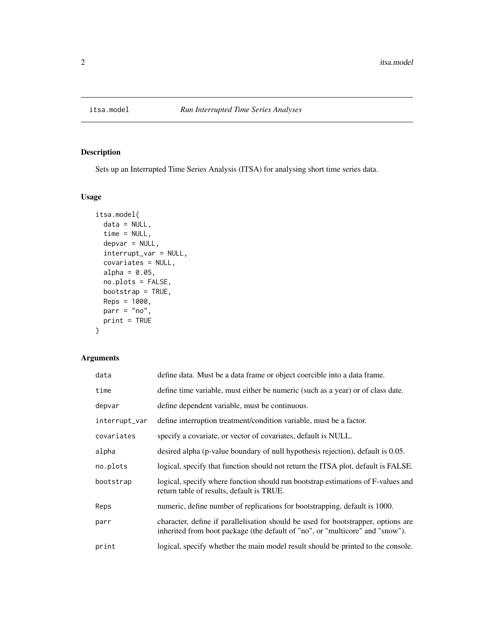<span id="page-1-0"></span>

#### Description

Sets up an Interrupted Time Series Analysis (ITSA) for analysing short time series data.

#### Usage

```
itsa.model(
  data = NULL,
  time = NULL,
  depvar = NULL,
  interrupt_var = NULL,
  covariates = NULL,
  alpha = 0.05,
 no.plots = FALSE,
 bootstrap = TRUE,
 Reps = 1000,parr = "no",print = TRUE
)
```
#### Arguments

| data          | define data. Must be a data frame or object coercible into a data frame.                                                                                           |
|---------------|--------------------------------------------------------------------------------------------------------------------------------------------------------------------|
| time          | define time variable, must either be numeric (such as a year) or of class date.                                                                                    |
| depvar        | define dependent variable, must be continuous.                                                                                                                     |
| interrupt_var | define interruption treatment/condition variable, must be a factor.                                                                                                |
| covariates    | specify a covariate, or vector of covariates, default is NULL.                                                                                                     |
| alpha         | desired alpha (p-value boundary of null hypothesis rejection), default is 0.05.                                                                                    |
| no.plots      | logical, specify that function should not return the ITSA plot, default is FALSE.                                                                                  |
| bootstrap     | logical, specify where function should run bootstrap estimations of F-values and<br>return table of results, default is TRUE.                                      |
| Reps          | numeric, define number of replications for bootstrapping, default is 1000.                                                                                         |
| parr          | character, define if parallelisation should be used for bootstrapper, options are<br>inherited from boot package (the default of "no", or "multicore" and "snow"). |
| print         | logical, specify whether the main model result should be printed to the console.                                                                                   |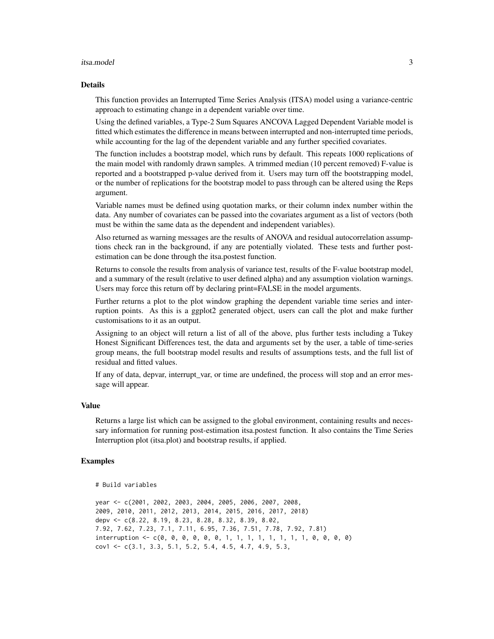#### itsa.model 3

#### Details

This function provides an Interrupted Time Series Analysis (ITSA) model using a variance-centric approach to estimating change in a dependent variable over time.

Using the defined variables, a Type-2 Sum Squares ANCOVA Lagged Dependent Variable model is fitted which estimates the difference in means between interrupted and non-interrupted time periods, while accounting for the lag of the dependent variable and any further specified covariates.

The function includes a bootstrap model, which runs by default. This repeats 1000 replications of the main model with randomly drawn samples. A trimmed median (10 percent removed) F-value is reported and a bootstrapped p-value derived from it. Users may turn off the bootstrapping model, or the number of replications for the bootstrap model to pass through can be altered using the Reps argument.

Variable names must be defined using quotation marks, or their column index number within the data. Any number of covariates can be passed into the covariates argument as a list of vectors (both must be within the same data as the dependent and independent variables).

Also returned as warning messages are the results of ANOVA and residual autocorrelation assumptions check ran in the background, if any are potentially violated. These tests and further postestimation can be done through the itsa.postest function.

Returns to console the results from analysis of variance test, results of the F-value bootstrap model, and a summary of the result (relative to user defined alpha) and any assumption violation warnings. Users may force this return off by declaring print=FALSE in the model arguments.

Further returns a plot to the plot window graphing the dependent variable time series and interruption points. As this is a ggplot2 generated object, users can call the plot and make further customisations to it as an output.

Assigning to an object will return a list of all of the above, plus further tests including a Tukey Honest Significant Differences test, the data and arguments set by the user, a table of time-series group means, the full bootstrap model results and results of assumptions tests, and the full list of residual and fitted values.

If any of data, depvar, interrupt\_var, or time are undefined, the process will stop and an error message will appear.

#### Value

Returns a large list which can be assigned to the global environment, containing results and necessary information for running post-estimation itsa.postest function. It also contains the Time Series Interruption plot (itsa.plot) and bootstrap results, if applied.

#### Examples

```
# Build variables
```

```
year <- c(2001, 2002, 2003, 2004, 2005, 2006, 2007, 2008,
2009, 2010, 2011, 2012, 2013, 2014, 2015, 2016, 2017, 2018)
depv <- c(8.22, 8.19, 8.23, 8.28, 8.32, 8.39, 8.02,
7.92, 7.62, 7.23, 7.1, 7.11, 6.95, 7.36, 7.51, 7.78, 7.92, 7.81)
interruption <- c(0, 0, 0, 0, 0, 0, 1, 1, 1, 1, 1, 1, 1, 1, 0, 0, 0, 0)
cov1 \leftarrow c(3.1, 3.3, 5.1, 5.2, 5.4, 4.5, 4.7, 4.9, 5.3,
```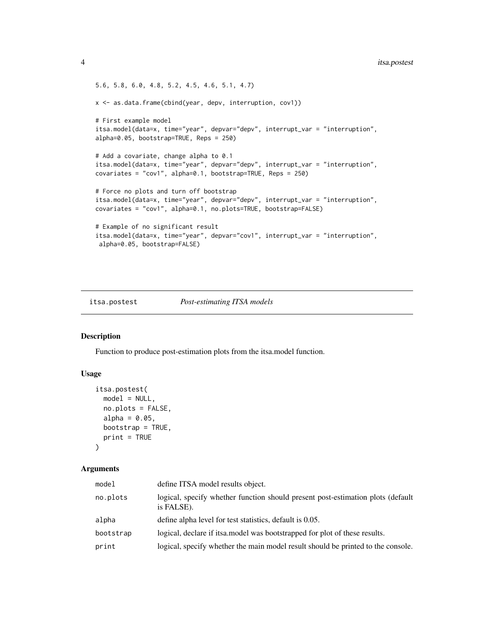```
5.6, 5.8, 6.0, 4.8, 5.2, 4.5, 4.6, 5.1, 4.7)
x <- as.data.frame(cbind(year, depv, interruption, cov1))
# First example model
itsa.model(data=x, time="year", depvar="depv", interrupt_var = "interruption",
alpha=0.05, bootstrap=TRUE, Reps = 250)
# Add a covariate, change alpha to 0.1
itsa.model(data=x, time="year", depvar="depv", interrupt_var = "interruption",
covariates = "cov1", alpha=0.1, bootstrap=TRUE, Reps = 250)
# Force no plots and turn off bootstrap
itsa.model(data=x, time="year", depvar="depv", interrupt_var = "interruption",
covariates = "cov1", alpha=0.1, no.plots=TRUE, bootstrap=FALSE)
# Example of no significant result
itsa.model(data=x, time="year", depvar="cov1", interrupt_var = "interruption",
 alpha=0.05, bootstrap=FALSE)
```
#### itsa.postest *Post-estimating ITSA models*

#### Description

Function to produce post-estimation plots from the itsa.model function.

#### Usage

```
itsa.postest(
 model = NULL,no.plots = FALSE,
 alpha = 0.05,
 bootstrap = TRUE,
 print = TRUE)
```
#### **Arguments**

| model     | define ITSA model results object.                                                             |
|-----------|-----------------------------------------------------------------------------------------------|
| no.plots  | logical, specify whether function should present post-estimation plots (default<br>is FALSE). |
| alpha     | define alpha level for test statistics, default is 0.05.                                      |
| bootstrap | logical, declare if its a model was bootstrapped for plot of these results.                   |
| print     | logical, specify whether the main model result should be printed to the console.              |

<span id="page-3-0"></span>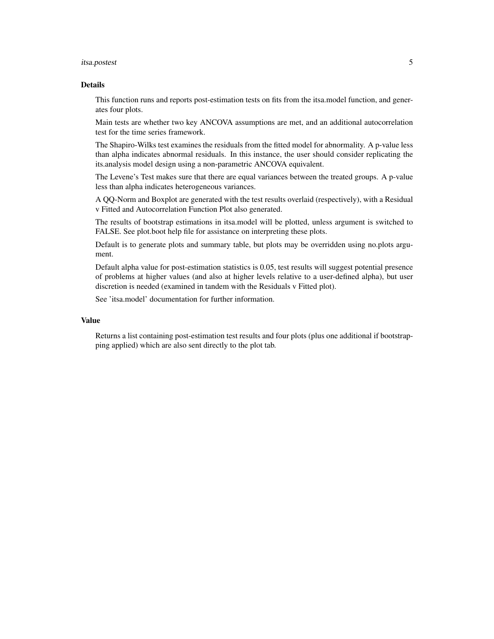#### itsa.postest 5

#### Details

This function runs and reports post-estimation tests on fits from the itsa.model function, and generates four plots.

Main tests are whether two key ANCOVA assumptions are met, and an additional autocorrelation test for the time series framework.

The Shapiro-Wilks test examines the residuals from the fitted model for abnormality. A p-value less than alpha indicates abnormal residuals. In this instance, the user should consider replicating the its.analysis model design using a non-parametric ANCOVA equivalent.

The Levene's Test makes sure that there are equal variances between the treated groups. A p-value less than alpha indicates heterogeneous variances.

A QQ-Norm and Boxplot are generated with the test results overlaid (respectively), with a Residual v Fitted and Autocorrelation Function Plot also generated.

The results of bootstrap estimations in itsa.model will be plotted, unless argument is switched to FALSE. See plot.boot help file for assistance on interpreting these plots.

Default is to generate plots and summary table, but plots may be overridden using no.plots argument.

Default alpha value for post-estimation statistics is 0.05, test results will suggest potential presence of problems at higher values (and also at higher levels relative to a user-defined alpha), but user discretion is needed (examined in tandem with the Residuals v Fitted plot).

See 'itsa.model' documentation for further information.

#### Value

Returns a list containing post-estimation test results and four plots (plus one additional if bootstrapping applied) which are also sent directly to the plot tab.